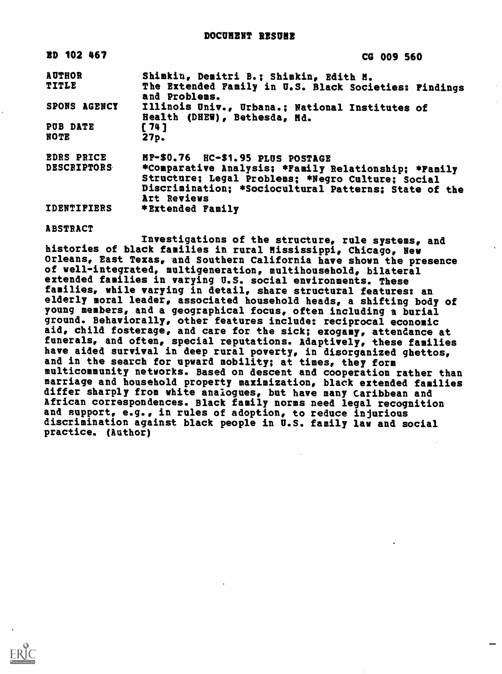| <b>BD 102 467</b>                       | CG 009 560                                                                                                                                                                                                            |
|-----------------------------------------|-----------------------------------------------------------------------------------------------------------------------------------------------------------------------------------------------------------------------|
| <b>AUTHOR</b><br><b>TITLE</b>           | Shimkin, Demitri B.; Shimkin, Edith M.<br>The Extended Family in U.S. Black Societies: Findings<br>and Problems.                                                                                                      |
| SPONS AGENCY                            | Illinois Univ., Urbana.; National Institutes of<br>Health (DHEW), Bethesda, Md.                                                                                                                                       |
| PUB DATE<br><b>NOTE</b>                 | [74]<br>27 <sub>p</sub>                                                                                                                                                                                               |
| <b>EDRS PRICE</b><br><b>DESCRIPTORS</b> | MF-\$0.76 HC-\$1.95 PLUS POSTAGE<br>*Comparative Analysis; *Family Relationship; *Family<br>Structure; Legal Problems; *Negro Culture; Social<br>Discrimination: *Sociocultural Patterns; State of the<br>Art Reviews |
| <b>IDENTIFIERS</b>                      | *Extended Family                                                                                                                                                                                                      |

ABSTRACT

Investigations of the structure, rule systems, and histories of black families in rural Mississippi, Chicago, New Orleans, East Texas, and Southern California have shown the presence of well-integrated, multigeneration, multihousehold, bilateral extended families in varying U.S. social environments. These families, while varying in detail, share structural features: an elderly moral leader, associated household heads, a shifting body of young members, and a geographical focus, often including a burial ground. Behaviorally, other features include: reciprocal economic aid, child fosterage, and care for the sick; exogamy, attendance at funerals, and often, special reputations. Adaptively, these families have aided survival in deep rural poverty, in disorganized ghettos, and in the search for upward mobility; at times, they form multicommunity networks. Based on descent and cooperation rather than marriage and household property maximization, black extended families differ sharply from white analogues, but have many Caribbean and African correspondences. Black family norms need legal recognition and support, e.g., in rules of adoption, to reduce injurious discrimination against black people in U.S. family law and social practice. (Author)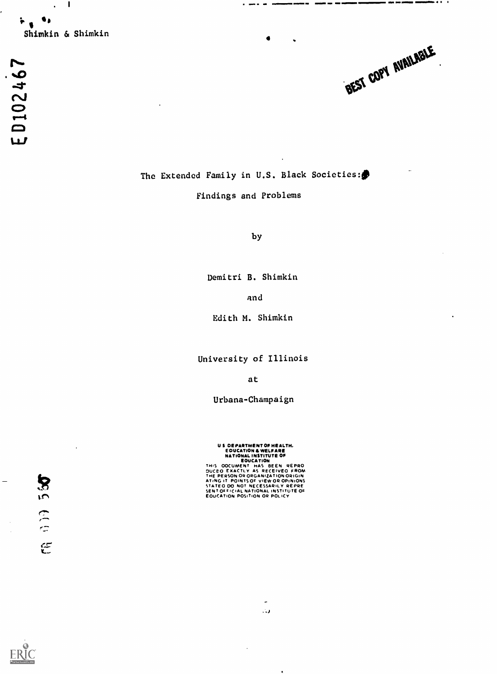ED102467

The Extended Family in U.S. Black Societies:

MmI NM

 $\bullet$   $\bullet$ 

#### Findings and Problems

by

Demitri B. Shimkin

and

Edith M. Shimkin

University of Illinois

at

Urbana-Champaign

US DEPARTMENT OF HEALTH.<br>
EDUCATION & WELFARE<br>
NATIONAL INSTITUTE OF<br>
BOUCATION<br>
THIS OOCUMENT HAS BEEN REPRO<br>
DUCED EXACTLY AS RECEVED FROM<br>
THE PERSON OR ORGANIZATION ORIGIN<br>
ATING IT POINTS OF VIEW OR OPINIONS<br>
STATED D

.1

 $\bullet$ 

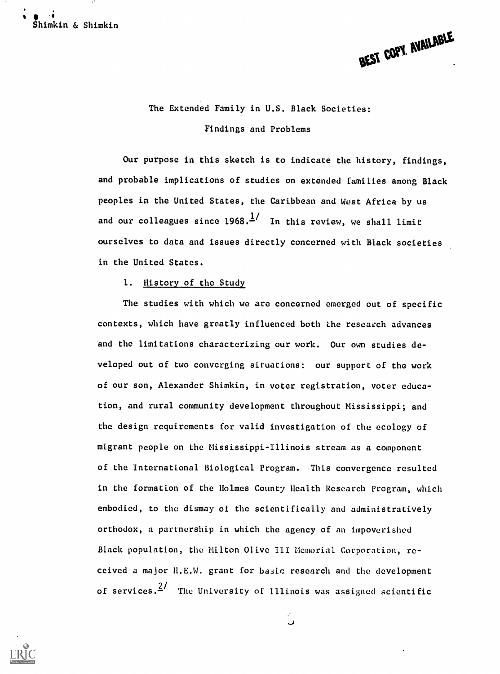$\blacksquare$ Shimkin & Shimkin



# The Extended Family in U.S. Black Societies: Findings and Problems

Our purpose in this sketch is to indicate the history, findings, and probable implications of studies on extended families among Black peoples in the United States, the Caribbean and West Africa by us and our colleagues since  $1968 \cdot \frac{1}{1}$  In this review, we shall limit ourselves to data and issues directly concerned with Black societies in the United States.

#### 1. History of the Study

The studies with which we are concerned emerged out of specific contexts, which have greatly influenced both the research advances and the limitations characterizing our work. Our own studies developed out of two converging situations: our support of the work of our son, Alexander Shimkin, in voter registration, voter education, and rural community development throughout Mississippi; and the design requirements for valid investigation of the ecology of migrant people on the Mississippi-Illinois stream as a component of the International Biological Program. This convergence resulted in the formation of the Holmes County Health Research Program, which embodied, to the dismay of the scientifically and administratively orthodox, a partnership in which the agency of an impoverished Black population, the Milton Olive III Memorial Corporation, received a major H.E.W. grant for basic research and the development of services. $\frac{2}{ }$  The University of Illinois was assigned scientific

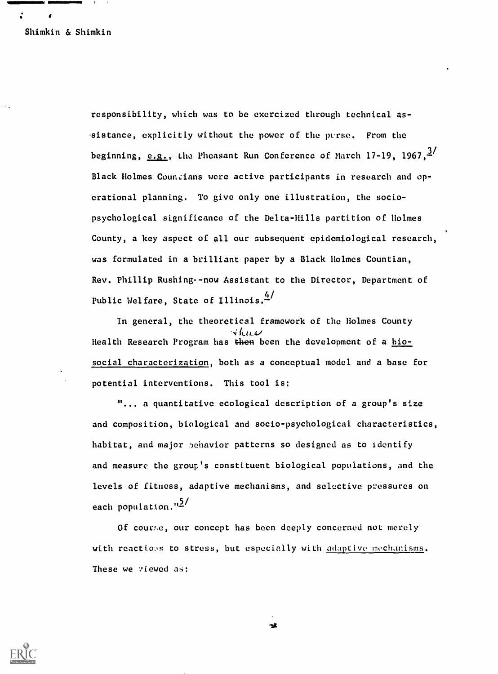f

 $\ddot{\cdot}$ 

responsibility, which was to be exorcized through technical as- .sistance, explicitly without the power of the purse. From the beginning,  $\underline{e.g.}$ , the Pheasant Run Conference of March 17-19, 1967, $\frac{3}{2}$ Black Holmes Countians were active participants in research and operational planning. To give only one illustration, the sociopsychological significance of the Delta-Hills partition of Holmes County, a key aspect of all our subsequent epidemiological research, was formulated in a brilliant paper by a Black Holmes Countian, Rev. Phillip Rushing--now Assistant to the Director, Department of Public Welfare, State of Illinois. 4/

In general, the theoretical framework of the Holmes County  $4$  here Health Research Program has then been the development of a biosocial characterization, both as a conceptual model and a base for potential interventions. This tool is:

... a quantitative ecological description of a group's size and composition, biological and socio-psychological characteristics, habitat, and major behavior patterns so designed as to identify and measure the group's constituent biological populations, and the levels of fitness, adaptive mechanisms, and selective pressures on each population."2/

Of course, our concept has been deeply concerned not merely with reactions to stress, but especially with adaptive mechanisms. These we viewed as:



÷ž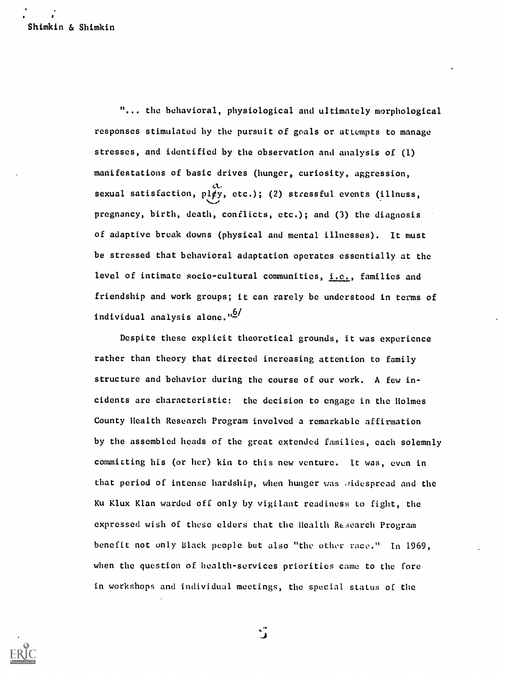"... the behavioral, physiological and ultimately morphological responses stimulated by the pursuit of goals or attempts to manage stresses, and identified by the observation and analysis of (1) manifestations of basic drives (hunger, curiosity, aggression, sexual satisfaction,  $p1\cancel{p}y$ , etc.); (2) stressful events (illness, pregnancy, birth, death, conflicts, etc.); and (3) the diagnosis of adaptive break downs (physical and mental illnesses). It must be stressed that behavioral adaptation operates essentially at the level of intimate socio-cultural communities, *i.e.*, families and friendship and work groups; it can rarely be understood in terms of individual analysis alone. $\frac{10}{10}$ 

Despite these explicit theoretical grounds, it was experience rather than theory that directed increasing attention to family structure and behavior during the course of our work. A few incidents are characteristic: the decision to engage in the Holmes County Health Research Program involved a remarkable affirmation by the assembled heads of the great extended families, each solemnly commicting his (or her) kin to this new venture. It was, even in that period of intense hardship, when hunger was Jidespread and the Ku Klux Klan warded off only by vigilant readiness to fight, the expressed wish of these elders that the Health Research Program benefit not only Black people but also "the other race." In 1969, when the question of health-services priorities came to the fore in workshops and individual meetings, the special status of the



्रैं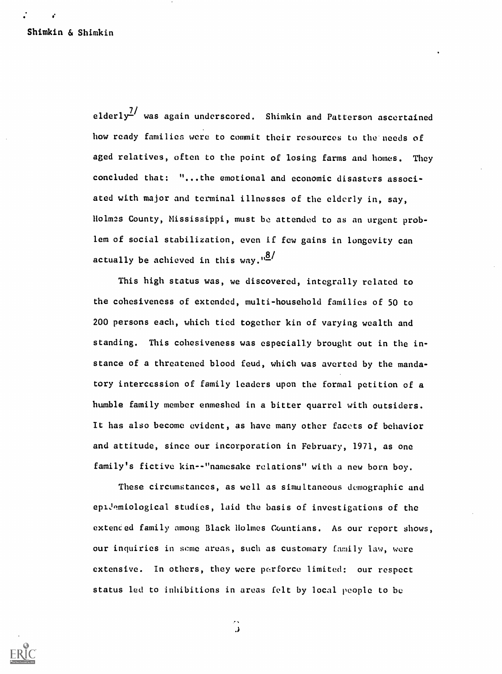elderly<sup>7</sup> was again underscored. Shimkin and Patterson ascertained how ready families were to commit their resources to the needs of aged relatives, often to the point of losing farms and homes. They concluded that: "...the emotional and economic disasters associated with major and terminal illnesses of the elderly in, say, Holm2s County, Mississippi, must be attended to as an urgent problem of social stabilization, even if few gains in longevity can actually be achieved in this way. $1\frac{18}{1}$ 

This high status was, we discovered, integrally related to the cohesiveness of extended, multi-household families of 50 to 200 persons each, which tied together kin of varying wealth and standing. This cohesiveness was especially brought out in the instance of a threatened blood feud, which was averted by the mandatory intercession of family leaders upon the formal petition of a humble family member enmeshed in a bitter quarrel with outsiders. It has also become evident, as have many other facets of behavior and attitude, since our incorporation in February, 1971, as one family's fictive kin--"namesake relations" with a new born boy.

These circumstances, as well as simultaneous demographic and epiJemiological studies, laid the basis of investigations of the extended family among Black Holmes Countians. As our report shows, our inquiries in some areas, such as customary family law, were extensive. In others, they were perforce limited: our respect status led to inhibitions in areas felt by local people to be



 $\ddot{\cdot}$ .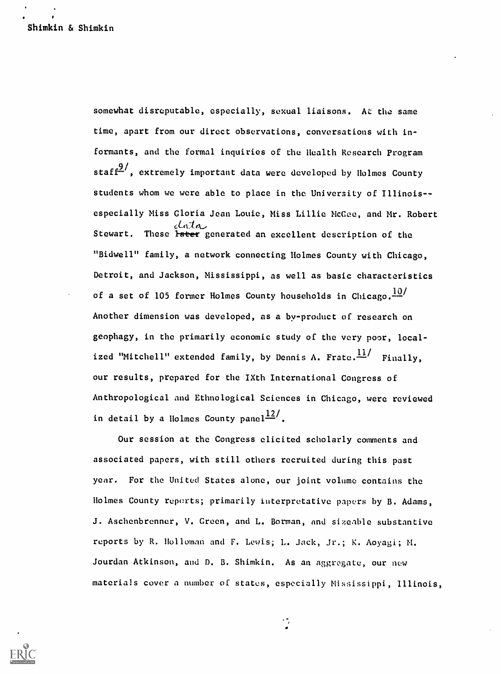somewhat disreputable, especially, sexual liaisons. At the same time, apart from our direct observations, conversations with informants, and the formal inquiries of the Health Research Program staff $\frac{9}{2}$ , extremely important data were developed by Holmes County students whom we were able to place in the University of Illinois- especially Miss Gloria Jean Louie, Miss Lillie McGee, and Mr. Robert cladek.- Stewart. These later generated an excellent description of the "Bidwell" family, a network connecting Holmes County with Chicago, Detroit, and Jackson, Mississippi, as well as basic characteristics of a set of 105 former Holmes County households in Chicago. $\frac{10}{10}$ Another dimension was developed, as a by-product of research on geophagy, in the primarily economic study of the very poor, localized "Mitchell" extended family, by Dennis A. Frate. $\frac{11}{11}$  Finally, our results, prepared for the IXth International Congress of Anthropological and Ethnological Sciences in Chicago, were reviewed in detail by a Holmes County panel<sup>12</sup>.

Our session at the Congress elicited scholarly comments and associated papers, with still others recruited during this past year. For the United States alone, our joint volume contains the Holmes County reports; primarily interpretative papers by B. Adams, J. Aschenbrenner, V. Green, and L. Borman, and sizeable substantive reports by R. Holloman and F. Lewis; L. Jack, Jr.; K. Aoyagi; M. Jourdan Atkinson, and D. B. Shimkin. As an aggregate, our new materials cover a number of states, especially Mississippi, Illinois,

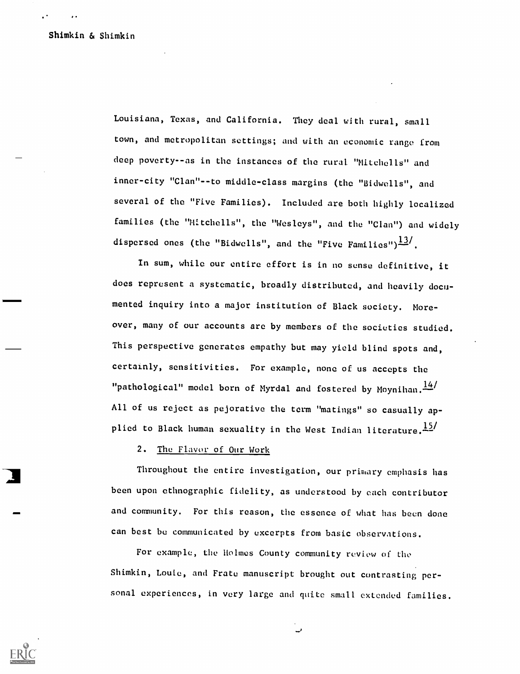Louisiana, Texas, and California. They deal with rural, small town, and metropolitan settings; and with an economic range from deep poverty--as in the instances of the rural "Mitchells" and inner-city "Clan"--to middle-class margins (the "Bidwells", and several of the "Five Families). Included are both highly localized families (the "Mitchells", the "Wesleys", and the "Clan") and widely dispersed ones (the "Bidwells", and the "Five Families") $\frac{13}{1}$ .

In sum, while our entire effort is in no sense definitive, it does represent a systematic, broadly distributed, and heavily documented inquiry into a major institution of Black society. Moreover, many of our accounts are by members of the societies studied. This perspective generates empathy but may yield blind spots and, certainly, sensitivities. For example, none of us accepts the "pathological" model born of Myrdal and fostered by Moynihan. $\frac{14}{11}$ All of us reject as pejorative the term "matings" so casually applied to Black human sexuality in the West Indian literature. $\frac{15}{12}$ 

#### 2. The Flavor of Our Work

Throughout the entire investigation, our primary emphasis has been upon ethnographic fidelity, as understood by each contributor and community. For this reason, the essence of what has been done can best be communicated by excerpts from basic observations.

For example, the Holmes County community review of the Shimkin, Louie, and Frate manuscript brought out contrasting personal experiences, in very large and quite small extended families.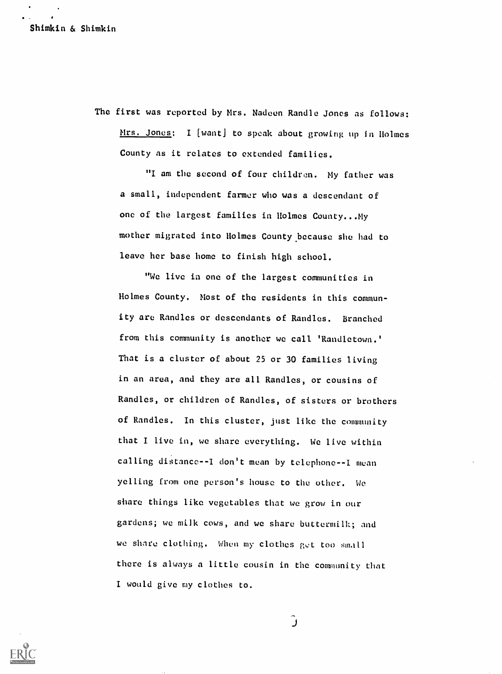The first was reported by Mrs. Nadeen Randle Jones as follows: Mrs. Jones: I [want) to speak about growing up in Holmes County as it relates to extended families.

"I am the second of four children. My father was a small, independent farmer who was a descendant of one of the largest families in Holmes County...My mother migrated into Holmes County because she had to leave her base home to finish high school.

"We live in one of the largest communities in Holmes County. Most of the residents in this community are Randles or descendants of Randles. Branched from this community is another we call 'Randletown.' That is a cluster of about 25 or 30 families living in an area, and they are all Randles, or cousins of Randles, or children of Randles, of sisters or brothers of Randles. In this cluster, just like the community that I live in, we share everything. We live within calling distance--I don't mean by telephone--I mean yelling from one person's house to the other. We sbare things like vegetables that we grow in our gardens; we milk cows, and we share buttermilk; and we share clothing. When my clothes get too small there is always a little cousin in the community that I would give my clothes to.



َر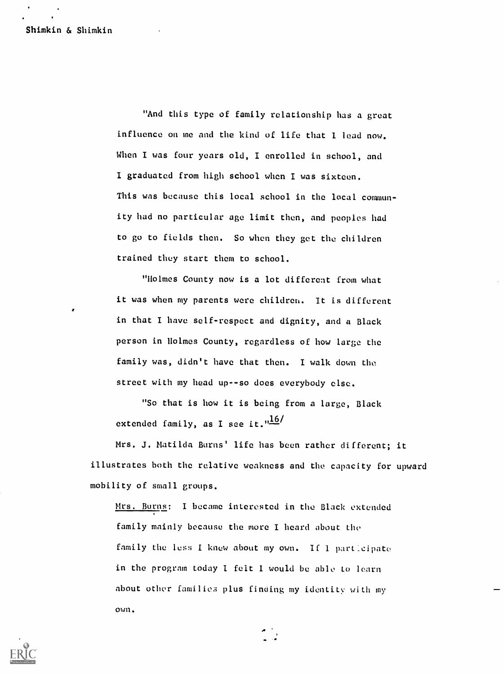"And this type of family relationship has a great influence on me and the kind of life that I lead now. When I was four years old, I enrolled in school, and I graduated from high school when I was sixteen. This was because this local school in the local community had no particular age limit then, and peoples had to go to fields then. So when they get the children trained they start them to school.

"Holmes County now is a lot different from what it was when my parents were children. It is different in that I have self-respect and dignity, and a Black person in Holmes County, regardless of how large the family was, didn't have that then. I walk down the street with my head up--so does everybody else.

"So that is how it is being from a large, Black extended family, as I see it." $\frac{16}{1}$ 

Mrs. J. Matilda Burns' life has been rather different; it illustrates both the relative weakness and the capacity for upward mobility of small groups.

Mrs. Burns: I became interested in the Black extended family mainly because the more I heard about the family the less I knew about my own. If 1 partleipate in the program today I felt I would be able to learn about other families plus finding my identity with my own.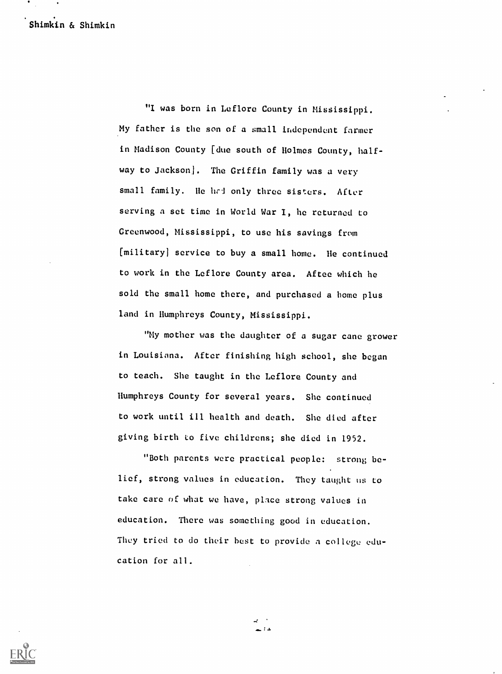Shimkin & Shimkin

"I was born in Leflore County in Mississippi. My father is the son of a small independent farmer in Madison County [due south of Holmes County, halfway to Jackson]. The Griffin family was a very small family. He had only three sisters. After serving a set time in World War I, he returned to Greenwood, Mississippi, to use his savings from [military] service to buy a small home. He continued to work in the Leflore County area. Aftee which he sold the small home there, and purchased a home plus land in Humphreys County, Mississippi.

"My mother was the daughter of a sugar cane grower in Louisiana. After finishing high school, she began to teach. She taught in the Leflore County and Humphreys County for several years. She continued to work until ill health and death. She died after giving birth to five childrens; she died in 1952.

"Both parents were practical people: strong belief, strong values in education. They taught us to take care of what we have, place strong values in education. There was something good in education. They tried to do their best to provide a college education for all.



د : د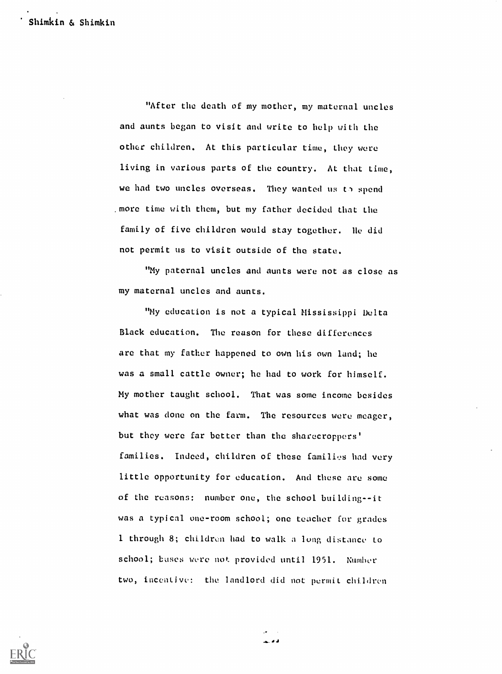"After the death of my mother, my maternal uncles and aunts began to visit and write to help with the other children. At this particular time, they were living in various parts of the country. At that time, we had two uncles overseas. They wanted us to spend more time with them, but my father decided that the family of five children would stay together. He did not permit us to visit outside of the state.

"My paternal uncles and aunts were not as close as my maternal uncles and aunts.

"My education is not a typical Mississippi Delta Black education. The reason for these differences are that my father happened to own his own land; he was a small cattle owner; he had to work for himself. My mother taught school. That was some income besides what was done on the farm. The resources were meager, but they were far better than the sharecroppers' families. Indeed, children of these families had very little opportunity for education. And these are some of the reasons: number one, the school building--it was a typical one-room school; one teacher for grades 1 through 8; children had to walk a long distance to school; bases were not provided until 1951. Number two, incentive: the landlord did not permit children

فأقالها

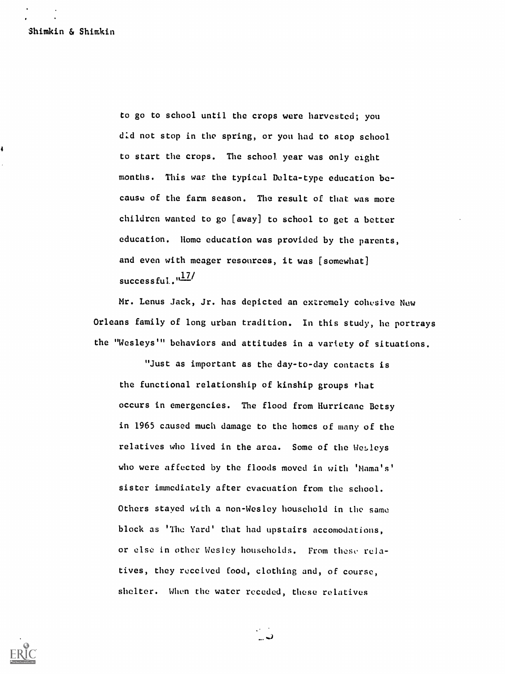to go to school until the crops were harvested; you d:d not stop in the spring, or you had to stop school to start the crops. The school year was only eight months. This was the typical Delta-type education because of the farm season. The result of that was more children wanted to go [away] to school to get a better education. Home education was provided by the parents, and even with meager resources, it was [somewhat] successful." <u>"I'</u>

Mr. Lenus Jack, Jr. has depicted an extremely cohesive New Orleans family of long urban tradition. In this study, he portrays the "Wesleys'" behaviors and attitudes in a variety of situations.

"Just as important as the day-to-day contacts is the functional relationship of kinship groups that occurs in emergencies. The flood from Hurricane Betsy in 1965 caused much damage to the homes of many of the relatives who lived in the area. Some of the Wesleys who were affected by the floods moved in with 'Mama's' sister immediately after evacuation from the school. Others stayed with a non-Wesley household in the same block as 'The Yard' that had upstairs accomodations, or else in other Wesley households. From these relatives, they received food, clothing and, of course, shelter. When the water receded, these relatives



ت..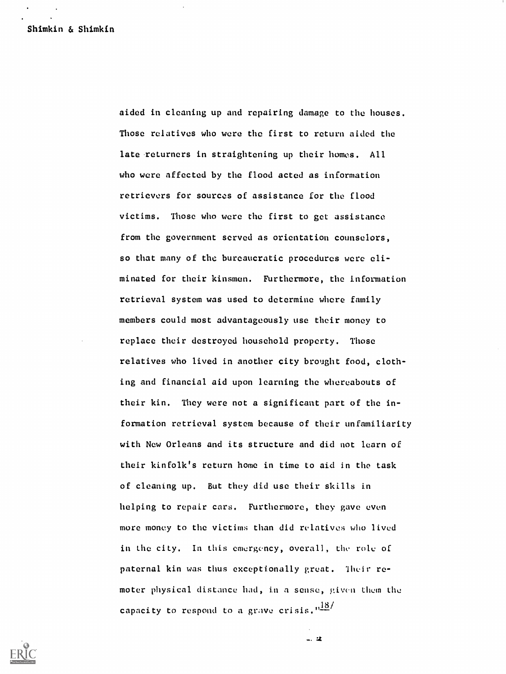aided in cleaning up and repairing damage to the houses. Those relatives who were the first to return aided the late returners in straightening up their homes. All who were affected by the flood acted as information retrievers for sources of assistance for the flood victims. Those who were the first to get assistance from the government served as orientation counselors, so that many of the bureaucratic procedures were eliminated for their kinsmen. Furthermore, the information retrieval system was used to determine where family members could most advantageously use their money to replace their destroyed household property. Those relatives who lived in another city brought food, clothing and financial aid upon learning the whereabouts of their kin. They were not a significant part of the information retrieval system because of their unfamiliarity with New Orleans and its structure and did not learn of their kinfolk's return home in time to aid in the task of cleaning up. But they did use their skills in helping to repair cars. Furthermore, they gave even more money to the victims than did relatives who lived in the city. In this emergency, overall, the role of paternal kin was thus exceptionally great. Their remoter physical distance had, in a sense, given them the capacity to respond to a grave crisis.  $n\frac{18}{16}$ 

 $-.2$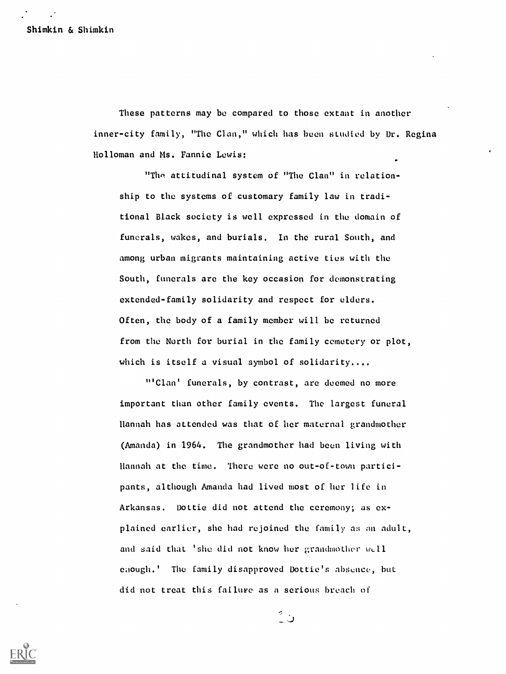These patterns may be compared to those extant in another inner-city family, "The Clan," which has been studied by Dr. Regina Holloman and Ms. Fannie Lewis:

"The attitudinal system of "The Clan" in relationship to the systems of customary family law in traditional Black society is well expressed in the domain of funerals, wakes, and burials. In the rural South, and among urban migrants maintaining active ties with the South, funerals are the key occasion for demonstrating extended-family solidarity and respect for elders. Often, the body of a family member will be returned from the North for burial in the family cemetery or plot, which is itself a visual symbol of solidarity....

"'Clan' funerals, by contrast, are deemed no more important than other family events. The largest funeral Hannah has attended was that of her maternal grandmother (Amanda) in 1964. The grandmother had been living with Hannah at the time. There were no out-of-town participants, although Amanda had lived most of her life in Arkansas. Dottie did not attend the ceremony; as explained earlier, she had rejoined the family as an adult, and said that 'she did not know her grandmother well eaough.' The family disapproved Dottie's absence, but did not treat this failure as a serious breach of

ن ?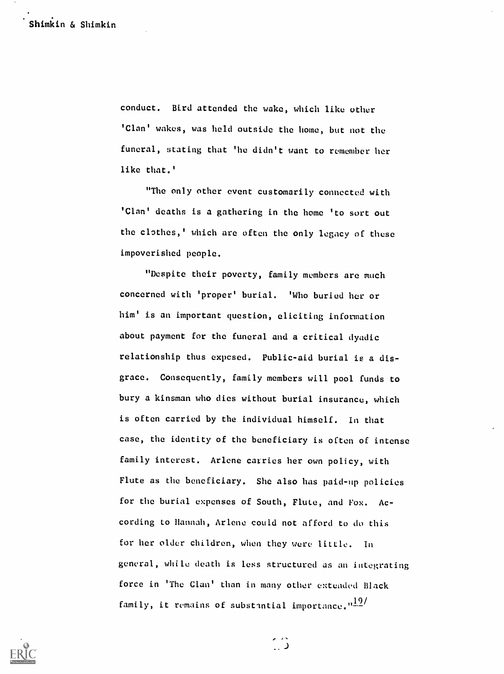conduct. Bird attended the wake, which like other 'Clan' wakes, was held outside the home, but not the funeral, stating that 'he didn't want to remember her like that.'

"The only other event customarily connected with 'Clan' deaths is a gathering in the home 'to sort out the clothes,' which are often the only legacy of these impoverished people.

"Despite their poverty, family members are much concerned with 'proper' burial. 'Who buried her or him' is an important question, eliciting information about payment for the funeral and a critical dyadic relationship thus cxpcsed. Public-aid burial is a disgrace. Consequently, family members will pool funds to bury a kinsman who dies without burial insurance, which is often carried by the individual himself. In that case, the identity of the beneficiary is often of intense family interest. Arlene carries her own policy, with Flute as the beneficiary. She also has paid-up policies for the burial expenses of South, Flute, and Fox. According to Hannah, Arlene could not afford to do this for her older children, when they were little. In general, while death is less structured as an integrating force in 'The Clan' than in many other extended Black family, it remains of substantial importance. $\frac{19}{12}$ 



 $\hat{\mathbb{C}}$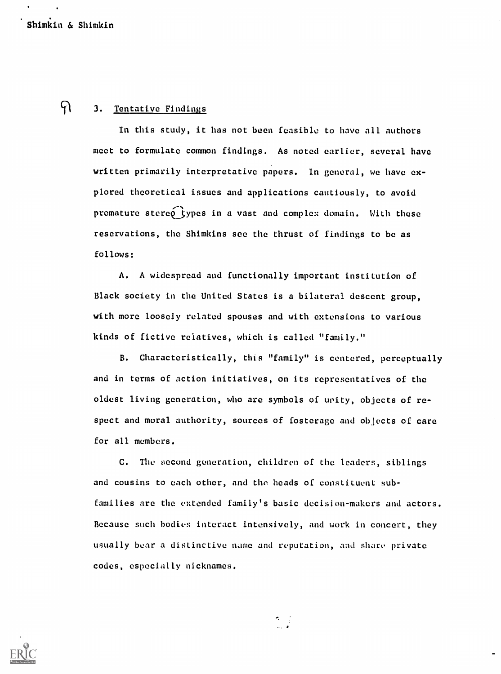## $\mathcal{P}$

#### 3. Tentative Findings

In this study, it has not been feasible to have all authors meet to formulate common findings. As noted earlier, several have written primarily interpretative papers. In general, we have explored theoretical issues and applications cautiously, to avoid premature stereo types in a vast and complex domain. With these reservations, the Shimkins see the thrust of findings to be as follows:

A. A widespread and functionally important institution of Black society in the United States is a bilateral descent group, with more loosely related spouses and with extensions to various kinds of fictive relatives, which is called "family."

B. Characteristically, this "family" is centered, perceptually and in terms of action initiatives, on its representatives of the oldest living generation, who are symbols of unity, objects of respect and moral authority, sources of fosterage and objects of care for all members.

C. The second generation, children of the leaders, siblings and cousins to each other, and tho heads of constituent subfamilies arc the entended family's basic decision-makers and actors. Because such bodies interact intensively, and work in concert, they usually bear a distinctive name and reputation, and share private codes, especially nicknames.

 $\sigma_{\rm{eff}}$ 

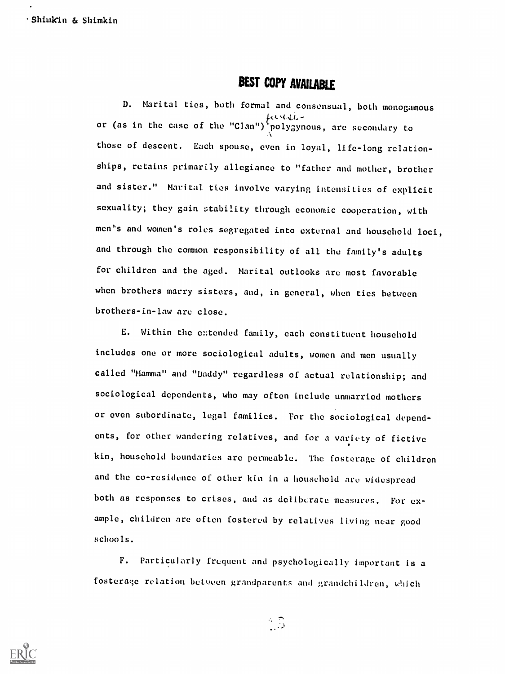## BEST COPY AVAILABLE

D. Marital ties, both formal and consensual, both monogamous  $\mu$ c.a.d.c. –  $\alpha$ or (as in the case of the "Clan") polygynous, are secondary to those of descent. Each spouse, even in loyal, life-long relationships, retains primarily allegiance to "father and mother, brother and sister." Marital ties involve varying intensities of explicit sexuality; they gain stability through economic cooperation, with men's and women's roles segregated into external and household loci, and through the common responsibility of all the family's adults for children and the aged. Marital outlooks are most favorable when brothers marry sisters, and, in general, when ties between brothers-in-law are close.

E. Within the e::tended family, each constituent household includes one or more sociological adults, women and men usually called "Mamma" and "Daddy" regardless of actual relationship; and sociological dependents, who may often include unmarried mothers or even subordinate, legal families. For the sociological dependents, for other wandering relatives, and for a variety of fictive kin, household boundaries are permeable. The fosterage of children and the co-residence of other kin in a household are widespread both as responses to crises, and as deliberate measures. For example, children are often fostered by relatives living near good schools.

F. Particularly frequent and psychologically important is a fosterage relation between grandparents and grandchi ldren, which



 $\frac{1}{2}$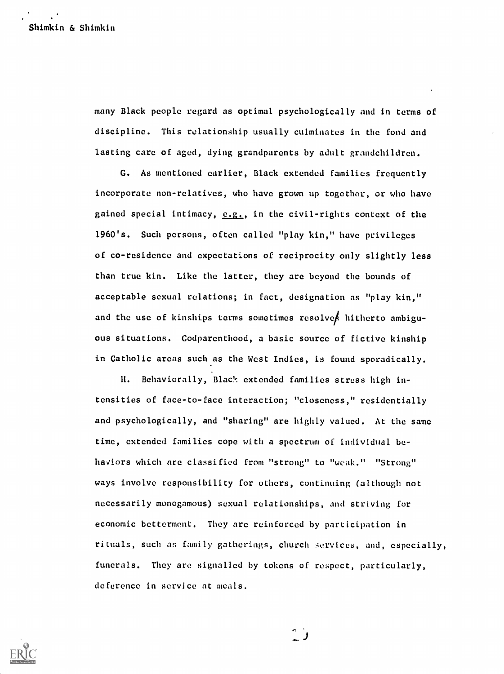many Black people regard as optimal psychologically and in terms of discipline. This relationship usually culminates in the fond and lasting care of aged, dying grandparents by adult grandchildren.

G. As mentioned earlier, Black extended families frequently incorporate non-relatives, who have grown up together, or who have gained special intimacy,  $e.g.,$  in the civil-rights context of the 1960's. Such persons, often called "play kin," have privileges of co-residence and expectations of reciprocity only slightly less than true kin. Like the latter, they are beyond the bounds of acceptable sexual relations; in fact, designation as "play kin," and the use of kinships terms sometimes resolve hitherto ambiguous situations. Godparenthood, a basic source of fictive kinship in Catholic areas such as the West Indies, is found sporadically.

H. Behaviorally, Black extended families stress high intensities of face-to-face interaction; "closeness," residentially and psychologically, and "sharing" are highly valued. At the same time, extended families cope with a spectrum of individual behaviors which arc classified from "strong" to "weak." "Strong" ways involve responsibility for others, continuing (although not necessarily monogamous) sexual relationships, and striving for economic betterment. They arc reinforced by participation in rituals, such as family gatherings, church services, and, especially, funerals. They are signalled by tokens of respect, particularly, deference in service at meals.



r.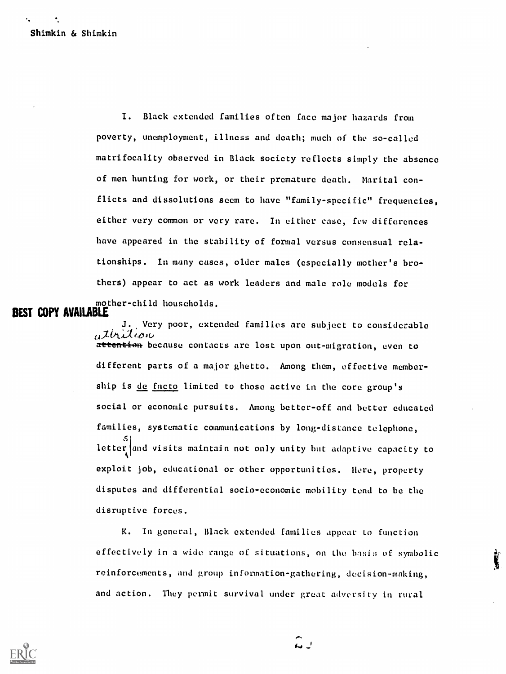I. Black extended families often face major hazards from poverty, unemployment, illness and death; much of the so-called matrifocality observed in Black society reflects simply the absence of men hunting for work, or their premature death. Marital conflicts and dissolutions seem to have "family-specific" frequencies, either very common or very rare. In either case, few differences have appeared in the stability of formal versus consensual relationships. In many cases, older males (especially mother's brothers) appear to act as work leaders and male role models for mother-child households.

### BEST COPY AVAILABLE

Very poor, extended families are subject to considerable attrition attention because contacts are lost upon out-migration, even to different parts of a major ghetto. Among them, effective membership is de facto limited to those active in the core group's social or economic pursuits. Among better-off and better educated families, systematic communications by long-distance telephone,  $\mathcal{S}$  and  $\mathcal{S}$ letter and visits maintain not only unity but adaptive capacity to exploit job, educational or other opportunities. Here, property disputes and differential socio-economic mobility tend to be the disruptive forces.

K. In general, Black extended families appear to function effectively in a wide range of situations, on the basis of symbolic reinforcements, and group information-gathering, decision-making, and action. They permit survival under great adversity in rural

 $\hat{a}$ 

ţ

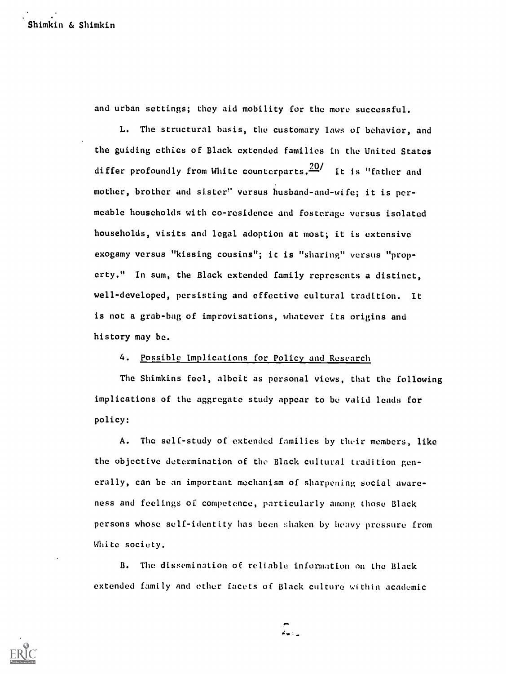and urban settings; they aid mobility for the more successful.

L. The structural basis, the customary laws of behavior, and the guiding ethics of Black extended families in the United States differ profoundly from White counterparts.  $\frac{20}{1}$  It is "father and mother, brother and sister" versus husband-and-wife; it is permeable households with co-residence and fosterage versus isolated households, visits and legal adoption at most; it is extensive exogamy versus "kissing cousins"; it is "sharing" versus "property." In sum, the Black extended family represents a distinct, well-developed, persisting and effective cultural tradition. It is not a grab-bag of improvisations, whatever its origins and history may be.

#### 4. Possible Implications for Policy and Research

The Shimkins feel, albeit as personal views, that the following implications of the aggregate study appear to be valid leads for policy:

A. The self-study of extended families by their members, like the objective determination of the Black cultural tradition generally, can be an important mechanism of sharpening social awareness and feelings of competence, particularly among those Black persons whose self-identity has been shaken by heavy pressure from White society.

B. The dissemination of reliable information on the Black extended family and other facets of Black culture within academic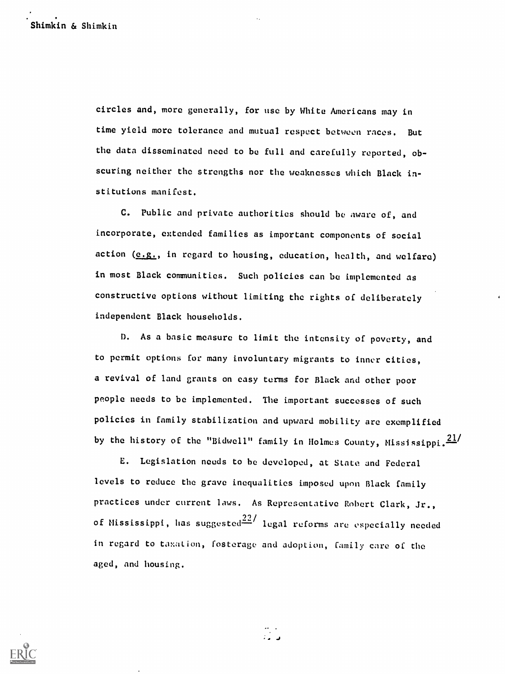circles and, more generally, for use by White Americans may in time yield more tolerance and mutual respect between races. But the data disseminated need to be full and carefully reported, obscuring neither the strengths nor the weaknesses which Black institutions manifest.

C. Public and private authorities should be aware of, and incorporate, extended families as important components of social action (e.g., in regard to housing, education, health, and welfare) in most Black communities. Such policies can be implemented as constructive options without limiting the rights of deliberately independent Black households.

D. As a basic measure to limit the intensity of poverty, and to permit options for many involuntary migrants to inner cities, a revival of land grants on easy terms for Black and other poor people needs to be implemented. The important successes of such policies in family stabilization and upward mobility are exemplified by the history of the "Bidwell" family in Holmes County, Mississippi. $\frac{21}{10}$ 

E. Legislation needs to he developed, at State and Federal levels to reduce the grave inequalities imposed upon Black family practices under current laws. As Representative Robert Clark, Jr., of Mississippi, has suggested $\frac{22}{1}$  legal reforms are especially needed in regard to taxation, fosterage and adoption, family care of the aged, and housing.

 $\frac{m}{2}$ 

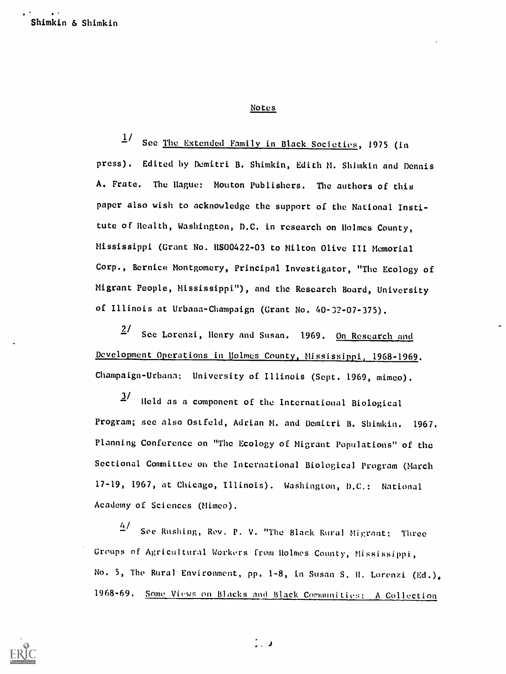#### Notes

 $^{17}$  See <u>The Extended Family in Black Societies</u>, 1975 (In press). Edited by Demitri B. Shimkin, Edith M. Shimkin and Dennis A. Prate. The Hague: Mouton Publishers. The authors of this paper also wish to acknowledge the support of the National Institute of Health, Washington, D.C. in research on Holmes County, Mississippi (Grant No. US00422 -03 to Milton Olive III Memorial Corp., Bernice Montgomery, Principal Investigator, "The Ecology of Migrant People, Mississippi"), and the Research Board, University of Illinois at Urbana-Champaign (Grant No. 40-32-07-375).

 $2/$  See Lorenzi, Henry and Susan. 1969. On Research and Development Operations in Holmes County, Mississippi, 1968-1969. Champaign-Urbana: University of Illinois (Sept. 1969, mimeo).

3/ Held as a component of the International Biological Program; see also Ostfeld, Adrian M. and Demitri B. Shimkin. 1967. Planning Conference on "The Ecology of Migrant Populations" of the Sectional Committee on the International Biological Program (March 17-19, 1967, at Chicago, Illinois). Washington, D.C.: National Academy of Sciences (Mimeo).

 $\frac{4}{10}$  See Rushing, Rev. P. V. "The Black Rural Migrant: Three Groups of Agricultural Workers from Holmes County, Mississippi, No. 5, The Rural Environment, pp. 1-8, in Susan S. H. Lorenzi (Ed.). 1968-69. Some Views on Blacks and Black Communities: A Collection



.J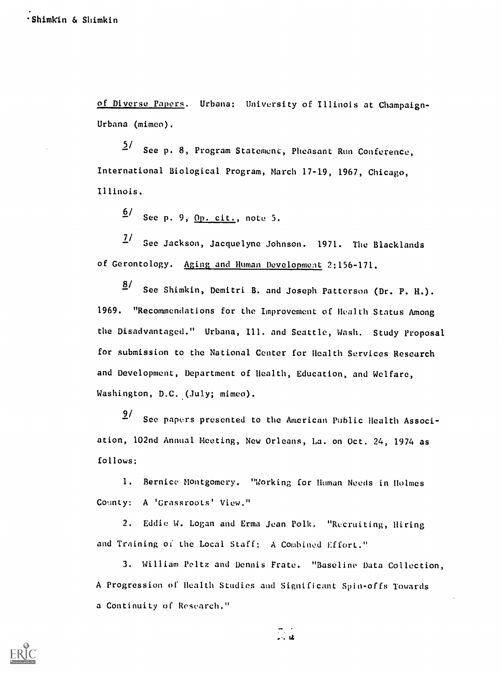of Diverse Papers. Urbana: University of Illinois at Champaign-Urbana (mimeo).

2<sup>/</sup> See p. 8, Program Statement, Pheasant Run Conference, International Biological Program, March 17-19, 1967, Chicago, Illinois.

<u>6</u>/ See p. 9, <u>Op. cit.</u>, note 5.

 $1/$  See Jackson, Jacquelyne Johnson. 1971. The Blacklands of Gerontology. Aging and Human Development 2:156-171.

 $8/$  See Shimkin, Demitri B. and Joseph Patterson (Dr. P. H.). 1969. "Recommendations for the Improvement of Health Status Among the Disadvantaged." Urbana, Ill, and Seattle, Wash. Study Proposal for submission to the National Center for Health Services Research and Development, Department of Health, Education, and Welfare, Washington, D.C. (July; mimeo).

9/ See papers presented to the American Public Health Association, 102nd Annual Meeting, New Orleans, La. on Oct. 24, 1974 as follows:

1. Bernice Montgomery. "Working for Human Needs in Holmes County: A 'Grassroots' View."

2. Eddie W. Logan and Erma Jean Polk. "Recruiting, Hiring and Training of the Local Staff: A Combined Effort."

3. William Peitz and Dennis Frate. "Baseline Data Collection, A Progression of Health Studies and Significant Spin-offs Towards a Continuity of Research."

 $\mathbb{R}^2$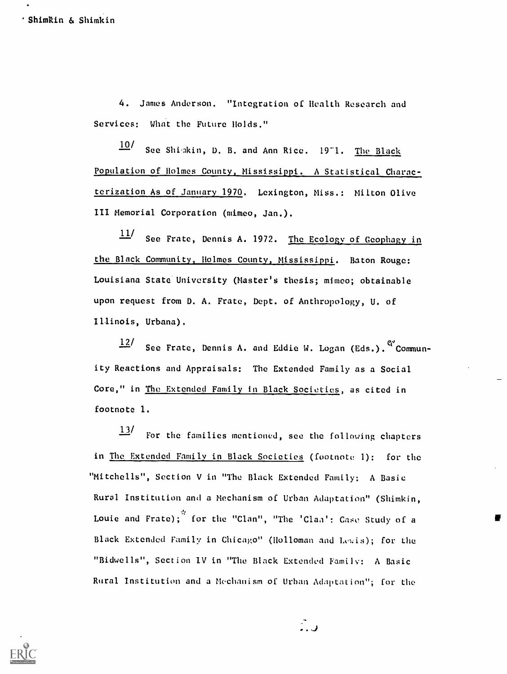4. James Anderson. "Integration of Health Research and Services: What the Future Holds."

10/ See Shiakin, D. B. and Ann Rice. 1971. The Black Population of Holmes County, Mississippi. A Statistical Characterization As of January 1970. Lexington, Miss.: Milton Olive III Memorial Corporation (mimeo, Jan.).

 $\frac{11}{11}$  See Frate, Dennis A. 1972. The Ecology of Geophagy in the Black Community, Holmes County, Mississippi. Baton Rouge: Louisiana State University (Master's thesis; mimeo; obtainable upon request from D. A. Frate, Dept. of Anthropology, U. of Illinois, Urbana).

12/ See Frate, Dennis A. and Eddie W. Logan (Eds.).  $C'$  Community Reactions and Appraisals: The Extended Family as a Social Core," in The Extended Family in Black Societies, as cited in footnote 1.

 $\frac{13}{12}$  For the families mentioned, see the following chapters in The Extended Family in Black Societies (footnote 1): for the "Mitchells", Section V in "The Black Extended Family: A Basic Rural Institution and a Mechanism of Urban Adaptation" (Shimkin, Louie and Frate); for the "Clan", "The 'Clan': Case Study of a Black Extended Family in Chicago" (Holloman and Lewis); for the "Bidwells", Section IV in "The Black Extended Family: A Basic Rural Institution and a Mechanism of Urban Adaptation"; for the



ر<br>ر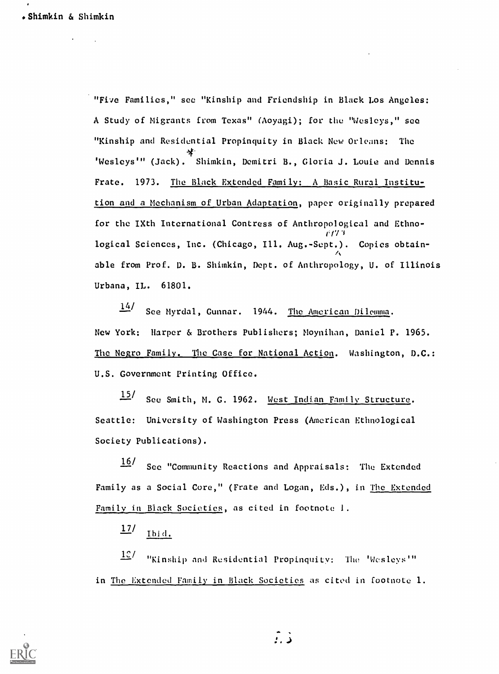"Five Families," see "Kinship and Friendship in Black Los Angeles: A Study of Migrants from Texas" (Aoyagi); for the "Wesleys," see "Kinship and Residential Propinquity in Black New Orleans: The \*\*<br>'Wesleys'" (Jack). Shimkin, Demitri B., Gloria J. Louie and Dennis Frate. 1973. The Black Extended Family: A Basic Rural Institution and a Mechanism of Urban Adaptation, paper originally prepared for the IXth International Contress of Anthropological and Ethnover 1970 - Jan Jawa Barat, San Jawa Barat, Indonesia.<br>1971 - Jan Jawa Barat, Jawa Barat, Indonesia.<br>1972 - Jan Jawa Barat, Indonesia. logical Sciences, Inc. (Chicago, Ill. Aug.-Sept.). Copies obtain-**A** *A A* able from Prof. D. B. Shimkin, Dept. of Anthropology, U. of Illinois Urbana, IL. 61801.

 $14/2$ See Myrdal, Gunnar. 1944. The American Dilemma. New York: Harper & Brothers Publishers; Moynihan, Daniel P. 1965. The Negro Family. The Case for National Action. Washington, D.C.: U.S. Government Printing Office.

15/ See Smith, M. G. 1962. West Indian Family Structure. Seattle: University of Washington Press (American Ethnological Society Publications).

16/ See "Community Reactions and Appraisals: The Extended Family as a Social Core," (Frate and Logan, Eds.), in The Extended Family in Black Societies, as cited in footnote 1.

 $\frac{17}{\sqrt{16}}$ 

 $\frac{100}{100}$  . "Kinship and Residential Propinquity: The 'Wesleys'" in The Extended Family in Black Societies as cited in footnote 1.



د :